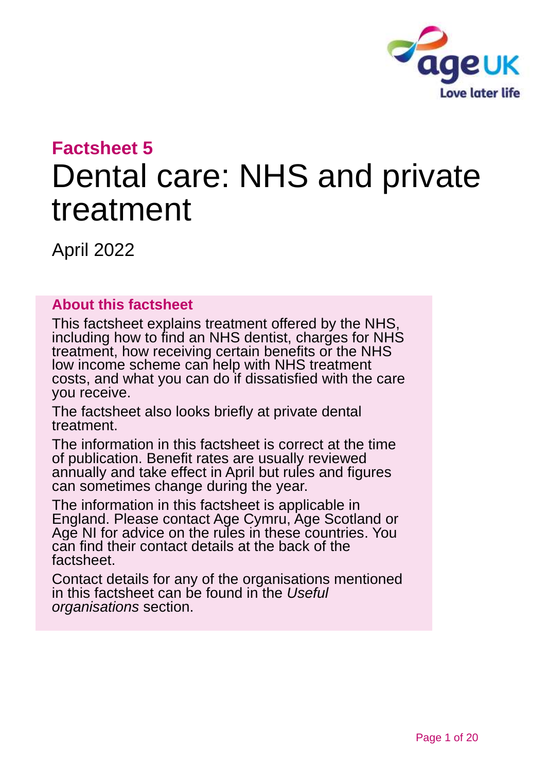

# **Factsheet 5** Dental care: NHS and private treatment

April 2022

#### **About this factsheet**

This factsheet explains treatment offered by the NHS, including how to find an NHS dentist, charges for NHS treatment, how receiving certain benefits or the NHS low income scheme can help with NHS treatment costs, and what you can do if dissatisfied with the care you receive.

The factsheet also looks briefly at private dental treatment.

The information in this factsheet is correct at the time of publication. Benefit rates are usually reviewed annually and take effect in April but rules and figures can sometimes change during the year.

The information in this factsheet is applicable in England. Please contact [Age Cymru, Age Scotland or](#page-18-0)  [Age NI](#page-18-0) for advice on the rules in these countries. You can find their contact details at the back of the factsheet.

Contact details for any of the organisations mentioned in this factsheet can be found in the *[Useful](#page-16-0)  [organisations](#page-16-0)* section.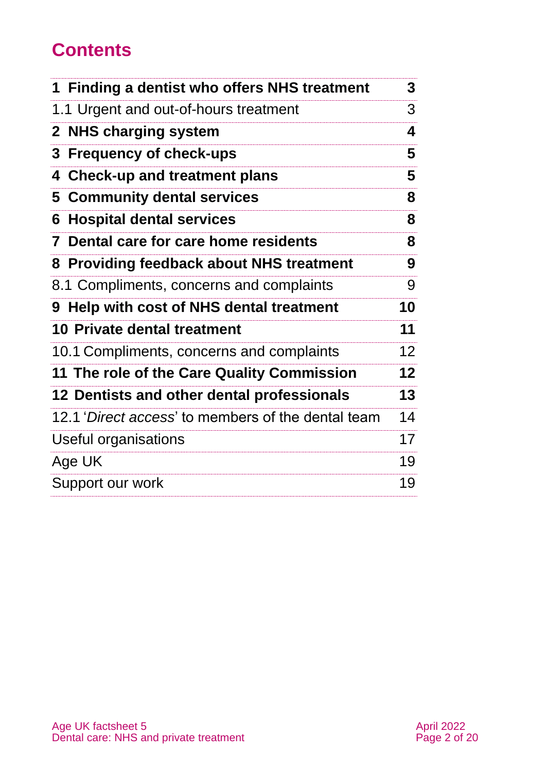# **Contents**

| 1 Finding a dentist who offers NHS treatment       | 3               |
|----------------------------------------------------|-----------------|
| 1.1 Urgent and out-of-hours treatment              | 3               |
| 2 NHS charging system                              | 4               |
| 3<br><b>Frequency of check-ups</b>                 | 5               |
| <b>Check-up and treatment plans</b><br>4           | 5               |
| <b>Community dental services</b><br>5.             | 8               |
| <b>Hospital dental services</b><br>6               | 8               |
| Dental care for care home residents<br>7           | 8               |
| 8 Providing feedback about NHS treatment           | 9               |
| 8.1 Compliments, concerns and complaints           | 9               |
| 9 Help with cost of NHS dental treatment           | 10              |
| <b>10 Private dental treatment</b>                 | 11              |
| 10.1 Compliments, concerns and complaints          | 12              |
| 11 The role of the Care Quality Commission         | 12 <sub>2</sub> |
| 12 Dentists and other dental professionals         | 13              |
| 12.1 'Direct access' to members of the dental team | 14              |
| Useful organisations                               | 17              |
| Age UK                                             | 19              |
| Support our work                                   | 19              |
|                                                    |                 |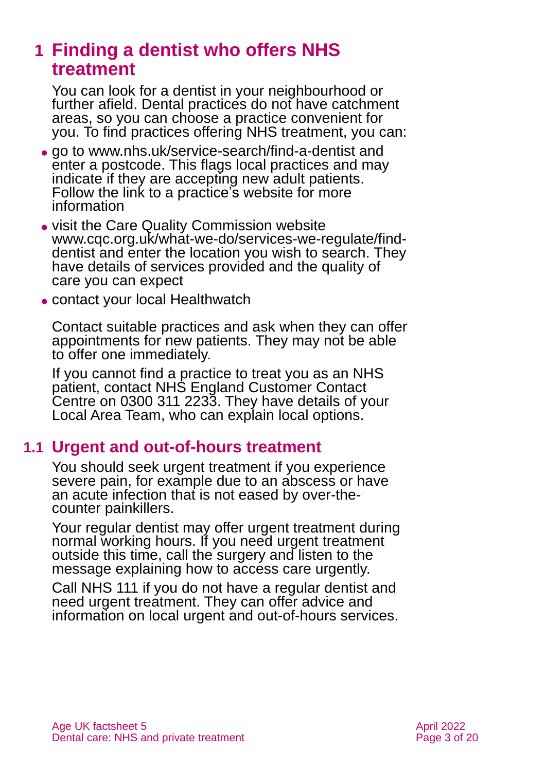# <span id="page-2-0"></span>**1 Finding a dentist who offers NHS treatment**

You can look for a dentist in your neighbourhood or further afield. Dental practices do not have catchment areas, so you can choose a practice convenient for you. To find practices offering NHS treatment, you can:

- ⚫ go to [www.nhs.uk/service-search/find-a-dentist](http://www.nhs.uk/service-search/find-a-dentist) and enter a postcode. This flags local practices and may indicate if they are accepting new adult patients. Follow the link to a practice's website for more information
- ⚫ visit the Care Quality Commission website [www.cqc.org.uk/what-we-do/services-we-regulate/find](http://www.cqc.org.uk/what-we-do/services-we-regulate/find-dentist)[dentist](http://www.cqc.org.uk/what-we-do/services-we-regulate/find-dentist) and enter the location you wish to search. They have details of services provided and the quality of care you can expect
- ⚫ contact your local [Healthwatch](https://www.healthwatch.co.uk/)

Contact suitable practices and ask when they can offer appointments for new patients. They may not be able to offer one immediately.

If you cannot find a practice to treat you as an NHS patient, contact NHS England Customer Contact Centre on 0300 311 2233. They have details of your Local Area Team, who can explain local options.

### **1.1 Urgent and out-of-hours treatment**

You should seek urgent treatment if you experience severe pain, for example due to an abscess or have an acute infection that is not eased by over-thecounter painkillers.

Your regular dentist may offer urgent treatment during normal working hours. If you need urgent treatment outside this time, call the surgery and listen to the message explaining how to access care urgently.

Call NHS 111 if you do not have a regular dentist and need urgent treatment. They can offer advice and information on local urgent and out-of-hours services.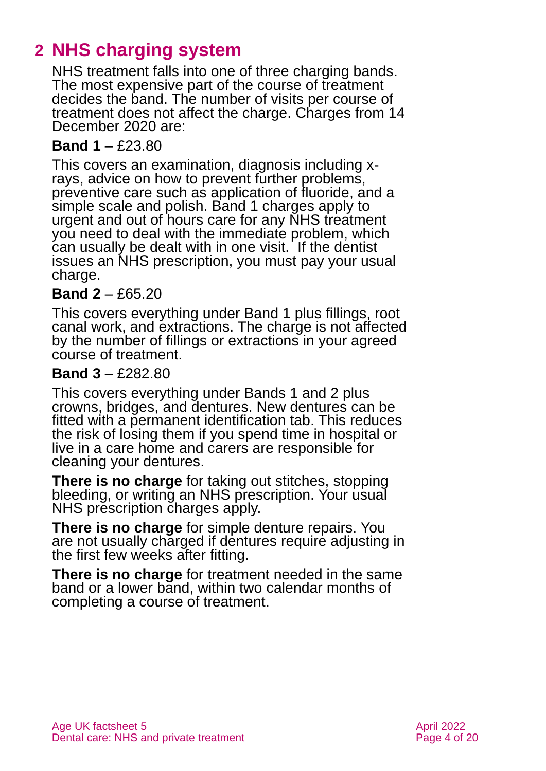# <span id="page-3-0"></span>**2 NHS charging system**

NHS treatment falls into one of three charging bands. The most expensive part of the course of treatment decides the band. The number of visits per course of treatment does not affect the charge. Charges from 14 December 2020 are:

#### **Band 1** – £23.80

This covers an examination, diagnosis including xrays, advice on how to prevent further problems, preventive care such as application of fluoride, and a simple scale and polish. Band 1 charges apply to urgent and out of hours care for any NHS treatment you need to deal with the immediate problem, which can usually be dealt with in one visit. If the dentist issues an NHS prescription, you must pay your usual charge.

#### **Band 2** – £65.20

This covers everything under Band 1 plus fillings, root canal work, and extractions. The charge is not affected by the number of fillings or extractions in your agreed course of treatment.

#### **Band 3** – £282.80

This covers everything under Bands 1 and 2 plus crowns, bridges, and dentures. New dentures can be fitted with a permanent identification tab. This reduces the risk of losing them if you spend time in hospital or live in a care home and carers are responsible for cleaning your dentures.

**There is no charge** for taking out stitches, stopping bleeding, or writing an NHS prescription. Your usual NHS prescription charges apply.

**There is no charge** for simple denture repairs. You are not usually charged if dentures require adjusting in the first few weeks after fitting.

**There is no charge** for treatment needed in the same band or a lower band, within two calendar months of completing a course of treatment.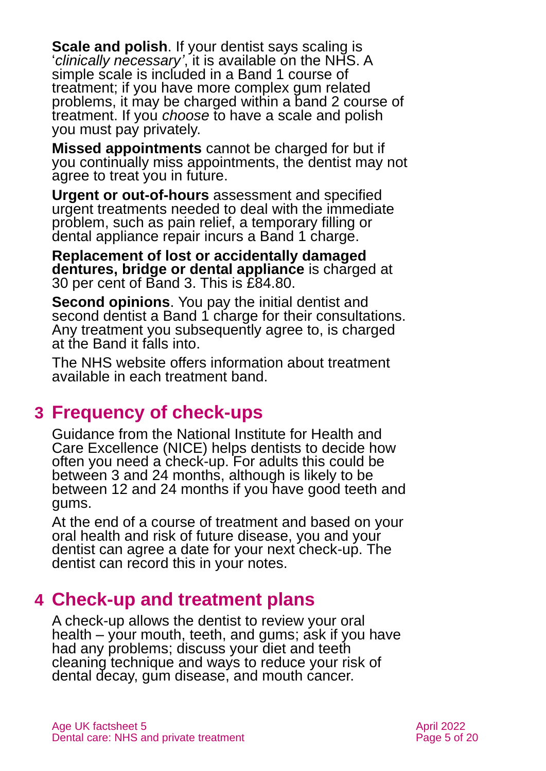**Scale and polish**. If your dentist says scaling is '*clinically necessary'*, it is available on the NHS. A simple scale is included in a Band 1 course of treatment; if you have more complex gum related problems, it may be charged within a band 2 course of treatment. If you *choose* to have a scale and polish you must pay privately.

**Missed appointments** cannot be charged for but if you continually miss appointments, the dentist may not agree to treat you in future.

**Urgent or out-of-hours** assessment and specified urgent treatments needed to deal with the immediate problem, such as pain relief, a temporary filling or dental appliance repair incurs a Band 1 charge.

**[Replacement of lost or accidentally damaged](https://www.nhsbsa.nhs.uk/help-nhs-dental-costs/replacement-dental-appliances)  [dentures,](https://www.nhsbsa.nhs.uk/help-nhs-dental-costs/replacement-dental-appliances) bridge or dental appliance** is charged at 30 per cent of Band 3. This is £84.80.

**Second opinions**. You pay the initial dentist and second dentist a Band 1 charge for their consultations. Any treatment you subsequently agree to, is charged at the Band it falls into.

The [NHS website](https://www.nhs.uk/NHSEngland/AboutNHSservices/dentists/Pages/dental-services-available-on-the-NHS.aspx) offers information about [treatment](https://www.nhs.uk/nhs-services/dentists/dental-costs/understanding-nhs-dental-charges/)  [available in each treatment band.](https://www.nhs.uk/nhs-services/dentists/dental-costs/understanding-nhs-dental-charges/)

# <span id="page-4-0"></span>**3 Frequency of check-ups**

Guidance from the National Institute for Health and Care Excellence (NICE) helps dentists to decide how often you need a check-up. For adults this could be between 3 and 24 months, although is likely to be between 12 and 24 months if you have good teeth and gums.

At the end of a course of treatment and based on your oral health and risk of future disease, you and your dentist can agree a date for your next check-up. The dentist can record this in your notes.

# <span id="page-4-1"></span>**4 Check-up and treatment plans**

A check-up allows the dentist to review your oral health – your mouth, teeth, and gums; ask if you have had any problems; discuss your diet and teeth cleaning technique and ways to reduce your risk of dental decay, gum disease, and mouth cancer.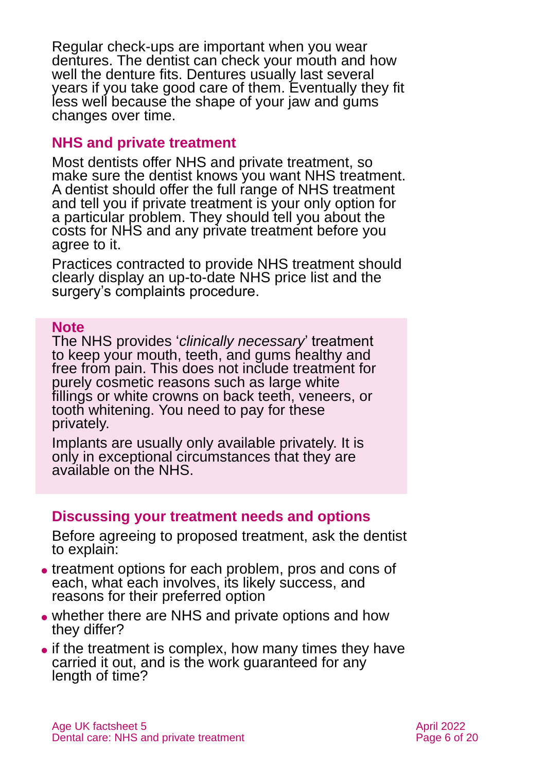Regular check-ups are important when you wear [dentures.](https://www.nhs.uk/conditions/dentures/) The dentist can check your mouth and how well the denture fits. Dentures usually last several years if you take good care of them. Eventually they fit less well because the shape of your jaw and gums changes over time.

#### **NHS and private treatment**

Most dentists offer NHS and private treatment, so make sure the dentist knows you want NHS treatment. A dentist should offer the full range of NHS treatment and tell you if private treatment is your only option for a particular problem. They should tell you about the costs for NHS and any private treatment before you agree to it.

Practices contracted to provide NHS treatment should clearly display an up-to-date NHS price list and the surgery's complaints procedure.

#### **Note**

The NHS provides '*clinically necessary*' treatment to keep your mouth, teeth, and gums healthy and free from pain. This does not include treatment for purely cosmetic reasons such as large white fillings or white crowns on back teeth, veneers, or tooth whitening. You need to pay for these privately.

Implants are usually only available privately. It is only in exceptional circumstances that they are available on the NHS.

#### **Discussing your treatment needs and options**

Before agreeing to proposed treatment, ask the dentist to explain:

- ⚫ treatment options for each problem, pros and cons of each, what each involves, its likely success, and reasons for their preferred option
- whether there are NHS and private options and how they differ?
- if the treatment is complex, how many times they have carried it out, and is the work guaranteed for any length of time?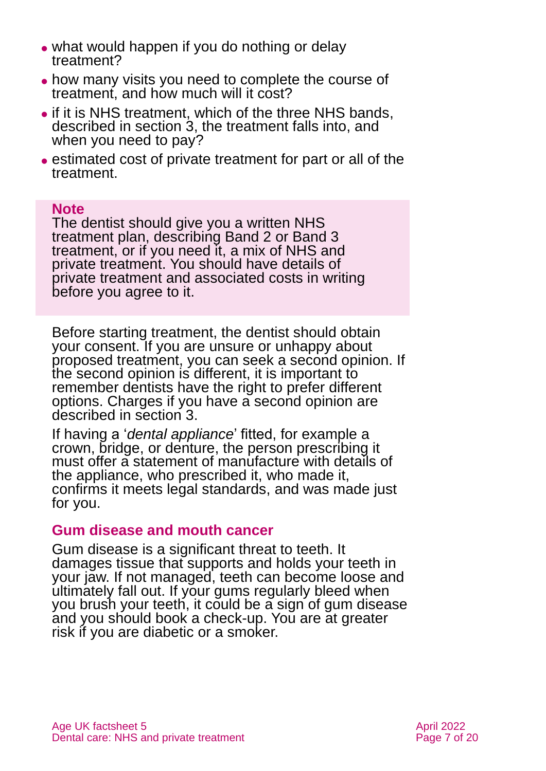- ⚫ what would happen if you do nothing or delay treatment?
- ⚫ how many visits you need to complete the course of treatment, and how much will it cost?
- ⚫ if it is NHS treatment, which of the three NHS bands, described in [section](#page-3-0) 3, the treatment falls into, and when you need to pay?
- ⚫ estimated cost of private treatment for part or all of the treatment.

#### **Note**

The dentist should give you a written NHS treatment plan, describing Band 2 or Band 3 treatment, or if you need it, a mix of NHS and private treatment. You should have details of private treatment and associated costs in writing before you agree to it.

Before starting treatment, the dentist should obtain your consent. If you are unsure or unhappy about proposed treatment, you can seek a second opinion. If the second opinion is different, it is important to remember dentists have the right to prefer different options. Charges if you have a second opinion are described in [section 3](#page-3-0).

If having a '*dental appliance*' fitted, for example a crown, bridge, or denture, the person prescribing it must offer a statement of manufacture with details of the appliance, who prescribed it, who made it, confirms it meets legal standards, and was made just for you.

#### **Gum disease and mouth cancer**

Gum disease is a significant threat to teeth. It damages tissue that supports and holds your teeth in your jaw. If not managed, teeth can become loose and ultimately fall out. If your gums regularly bleed when you brush your teeth, it could be a sign of gum disease and you should book a check-up. You are at greater risk if you are diabetic or a smoker.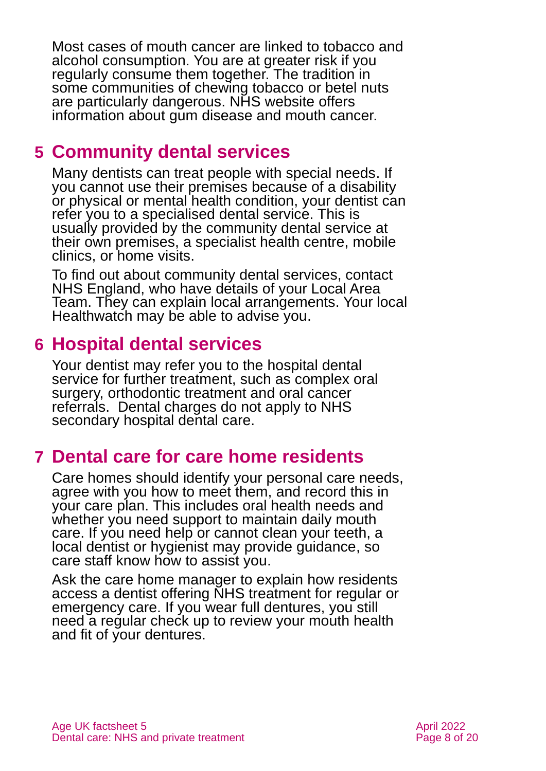Most cases of mouth cancer are linked to tobacco and alcohol consumption. You are at greater risk if you regularly consume them together. The tradition in some communities of chewing tobacco or betel nuts are particularly dangerous. NHS website offers information about [gum disease](https://www.nhs.uk/conditions/gum-disease/) and [mouth cancer.](https://www.nhs.uk/conditions/mouth-cancer/)

### <span id="page-7-0"></span>**5 Community dental services**

Many dentists can treat people with special needs. If you cannot use their premises because of a disability or physical or mental health condition, your dentist can refer you to a specialised dental service. This is usually provided by the [community dental service](https://www.nhs.uk/using-the-nhs/nhs-services/dentists/dental-treatment-for-people-with-special-needs/) at their own premises, a specialist health centre, mobile clinics, or home visits.

To find out about community dental services, contact NHS England, who have details of your Local Area Team. They can explain local arrangements. Your local [Healthwatch](#page-16-1) may be able to advise you.

### <span id="page-7-1"></span>**6 Hospital dental services**

Your dentist may refer you to the hospital dental service for further treatment, such as complex oral surgery, orthodontic treatment and oral cancer referrals. Dental charges do not apply to NHS secondary hospital dental care.

# <span id="page-7-2"></span>**7 Dental care for care home residents**

Care homes should identify your personal care needs, agree with you how to meet them, and record this in your care plan. This includes oral health needs and whether you need support to maintain daily mouth care. If you need help or cannot clean your teeth, a local dentist or hygienist may provide guidance, so care staff know how to assist you.

Ask the care home manager to explain how residents access a dentist offering NHS treatment for regular or emergency care. If you wear full dentures, you still need a regular check up to review your mouth health and fit of your dentures.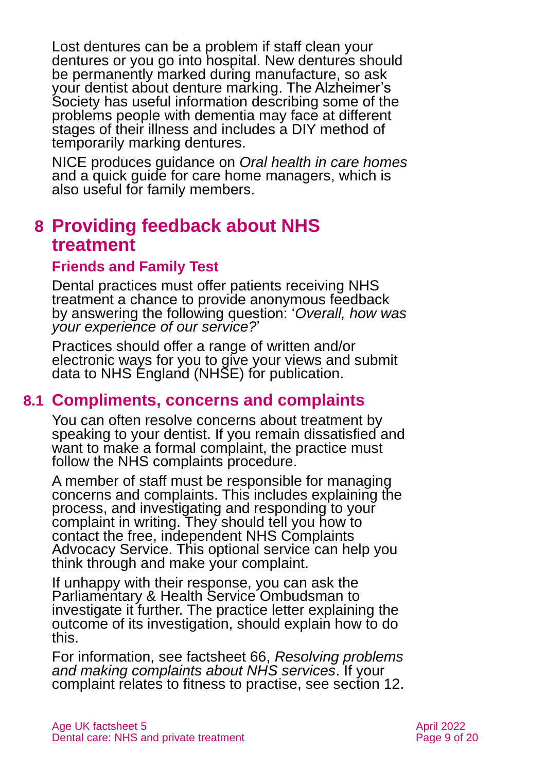Lost dentures can be a problem if staff clean your dentures or you go into hospital. New dentures should be permanently marked during manufacture, so ask your dentist about denture marking. The [Alzheimer's](https://www.alzheimers.org.uk/get-support/daily-living/dental-care#content-start)  [Society](https://www.alzheimers.org.uk/get-support/daily-living/dental-care#content-start) has [useful information](https://www.alzheimers.org.uk/info/20029/daily_living/9/dental_care/5) describing some of the problems people with dementia may face at different stages of their illness and includes a [DIY method of](https://www.alzheimers.org.uk/get-support/daily-living/dental-care)  [temporarily marking dentures.](https://www.alzheimers.org.uk/get-support/daily-living/dental-care)

NICE produces guidance on *[Oral health in care homes](https://www.nice.org.uk/about/nice-communities/social-care/quick-guides/improving-oral-health-for-adults-in-care-homes?utm_medium=webpage&utm_source=toolsr&utm_campaign=quickguides&utm_content=qg1)* [and a quick guide for care home managers,](https://www.nice.org.uk/about/nice-communities/social-care/quick-guides/improving-oral-health-for-adults-in-care-homes?utm_medium=webpage&utm_source=toolsr&utm_campaign=quickguides&utm_content=qg1) which is also useful for family members.

# <span id="page-8-0"></span>**8 Providing feedback about NHS treatment**

#### **Friends and Family Test**

Dental practices must offer patients receiving NHS treatment a chance to provide anonymous feedback by answering the following question: '*Overall, how was your experience of our service?*'

Practices should offer a range of written and/or electronic ways for you to give your views and submit data to NHS England (NHSE) for publication.

#### <span id="page-8-1"></span>**8.1 Compliments, concerns and complaints**

You can often resolve concerns about treatment by speaking to your dentist. If you remain dissatisfied and want to make a formal complaint, the practice must follow the NHS complaints procedure.

A member of staff must be responsible for managing concerns and complaints. This includes explaining the process, and investigating and responding to your complaint in writing. They should tell you how to contact the free, independent NHS Complaints Advocacy Service. This optional service can help you think through and make your complaint.

If unhappy with their response, you can ask the Parliamentary & Health Service Ombudsman to investigate it further. The practice letter explaining the outcome of its investigation, should explain how to do this.

For information, see factsheet 66, *[Resolving problems](https://www.ageuk.org.uk/globalassets/age-uk/documents/factsheets/fs66_resolving_problems_and_making_a_complaint_about_nhs_care_fcs.pdf)  [and making complaints about NHS services](https://www.ageuk.org.uk/globalassets/age-uk/documents/factsheets/fs66_resolving_problems_and_making_a_complaint_about_nhs_care_fcs.pdf)*. If your complaint relates to fitness to practise, see section 12.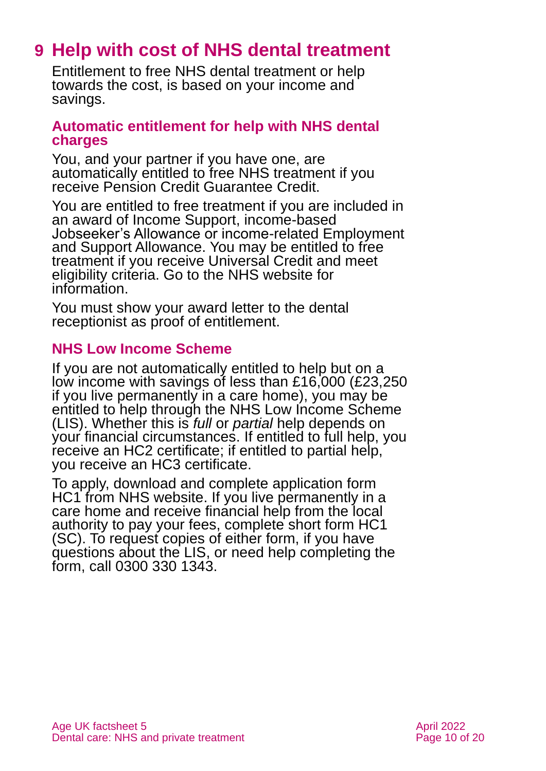# <span id="page-9-0"></span>**9 Help with cost of NHS dental treatment**

Entitlement to free NHS dental treatment or help towards the cost, is based on your income and savings.

#### **Automatic entitlement for help with NHS dental charges**

You, and your partner if you have one, are automatically entitled to free NHS treatment if you receive Pension Credit Guarantee Credit.

You are entitled to free treatment if you are included in an award of Income Support, income-based Jobseeker's Allowance or income-related Employment and Support Allowance. You may be entitled to free treatment if you receive Universal Credit and meet eligibility criteria. Go to the [NHS website for](https://www.nhs.uk/using-the-nhs/help-with-health-costs/help-with-health-costs-for-people-getting-universal-credit/)  [information.](https://www.nhs.uk/using-the-nhs/help-with-health-costs/help-with-health-costs-for-people-getting-universal-credit/)

You must show your award letter to the dental receptionist as proof of entitlement.

#### **NHS Low Income Scheme**

If you are not automatically entitled to help but on a low income with savings of less than £16,000 (£23,250 if you live permanently in a care home), you may be entitled to help through the NHS Low Income Scheme (LIS). Whether this is *full* or *partial* help depends on your financial circumstances. If entitled to full help, you receive an HC2 certificate; if entitled to partial help, you receive an HC3 certificate.

To apply, download and complete application form [HC1 from NHS website.](https://www.nhs.uk/using-the-nhs/help-with-health-costs/nhs-low-income-scheme-lis/) If you live permanently in a care home and receive financial help from the local authority to pay your fees, complete short form HC1 (SC). To request copies of either form, if you have questions about the LIS, or need help completing the form, call 0300 330 1343.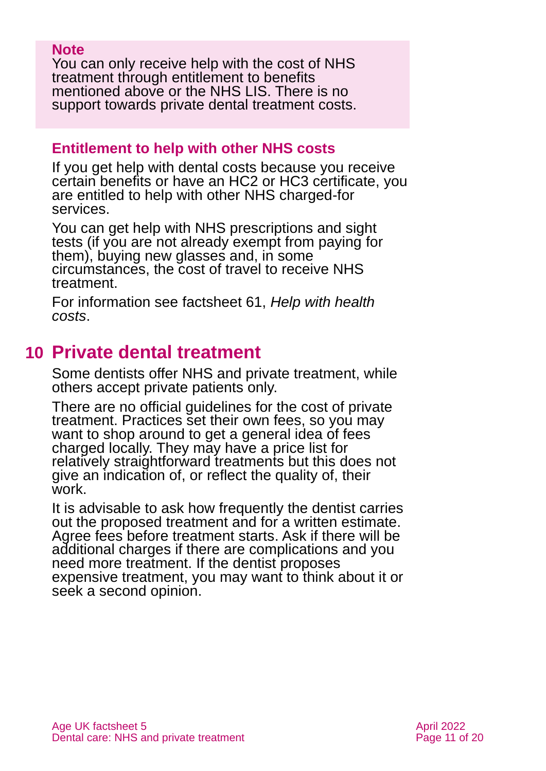#### **Note**

You can only receive help with the cost of NHS treatment through entitlement to benefits mentioned above or the NHS LIS. There is no support towards private dental treatment costs.

#### **Entitlement to help with other NHS costs**

If you get help with dental costs because you receive certain benefits or have an HC2 or HC3 certificate, you are entitled to help with other NHS charged-for services.

You can get help with NHS prescriptions and sight tests (if you are not already exempt from paying for them), buying new glasses and, in some circumstances, the cost of travel to receive NHS treatment.

<span id="page-10-0"></span>For information see factsheet 61, *[Help with health](https://www.ageuk.org.uk/globalassets/age-uk/documents/factsheets/fs61_help_with_health_costs_fcs.pdf)  [costs](https://www.ageuk.org.uk/globalassets/age-uk/documents/factsheets/fs61_help_with_health_costs_fcs.pdf)*.

# **10 Private dental treatment**

Some dentists offer NHS and private treatment, while others accept private patients only.

There are no official guidelines for the cost of private treatment. Practices set their own fees, so you may want to shop around to get a general idea of fees charged locally. They may have a price list for relatively straightforward treatments but this does not give an indication of, or reflect the quality of, their work.

It is advisable to ask how frequently the dentist carries out the proposed treatment and for a written estimate. Agree fees before treatment starts. Ask if there will be additional charges if there are complications and you need more treatment. If the dentist proposes expensive treatment, you may want to think about it or seek a second opinion.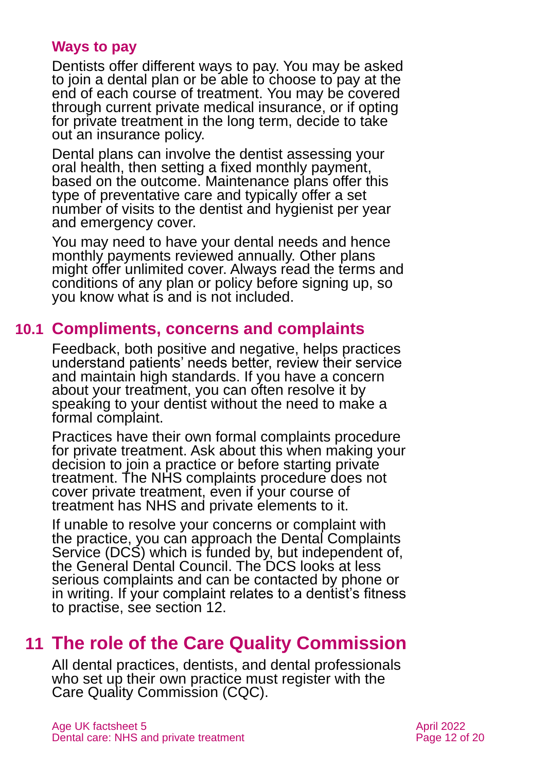#### **Ways to pay**

Dentists offer different ways to pay. You may be asked to join a dental plan or be able to choose to pay at the end of each course of treatment. You may be covered through current private medical insurance, or if opting for private treatment in the long term, decide to take out an insurance policy.

Dental plans can involve the dentist assessing your oral health, then setting a fixed monthly payment, based on the outcome. Maintenance plans offer this type of preventative care and typically offer a set number of visits to the dentist and hygienist per year and emergency cover.

You may need to have your dental needs and hence monthly payments reviewed annually. Other plans might offer unlimited cover. Always read the terms and conditions of any plan or policy before signing up, so you know what is and is not included.

#### **10.1 Compliments, concerns and complaints**

<span id="page-11-1"></span>Feedback, both positive and negative, helps practices understand patients' needs better, review their service and maintain high standards. If you have a concern about your treatment, you can often resolve it by speaking to your dentist without the need to make a formal complaint.

Practices have their own formal complaints procedure for private treatment. Ask about this when making your decision to join a practice or before starting private treatment. The NHS complaints procedure does not cover private treatment, even if your course of treatment has NHS and private elements to it.

If unable to resolve your concerns or complaint with the practice, you can approach the Dental Complaints Service (DCS) which is funded by, but independent of, the General Dental Council. The DCS looks at less serious complaints and can be contacted by phone or in writing. If your complaint relates to a dentist's fitness to practise, see section 12.

### <span id="page-11-0"></span>**11 The role of the Care Quality Commission**

All dental practices, dentists, and dental professionals who set up their own practice must register with the Care Quality Commission (CQC).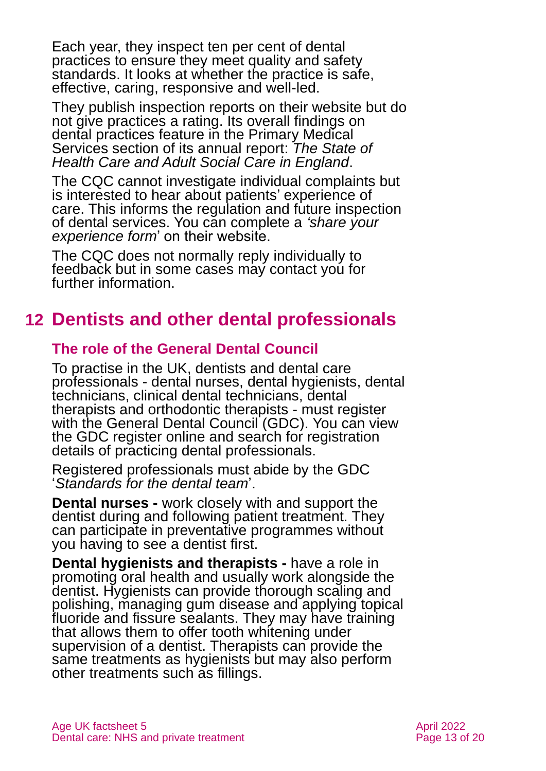Each year, they inspect ten per cent of dental practices to ensure they meet quality and safety standards. It looks at whether the practice is safe, effective, caring, responsive and well-led.

They publish inspection reports on their website but do not give practices a rating. Its overall findings on dental practices feature in the Primary Medical Services section of its annual report: *The [State of](https://www.cqc.org.uk/publications/major-report/state-care)  [Health Care and Adult Social Care in England](https://www.cqc.org.uk/publications/major-report/state-care)*.

The CQC cannot investigate individual complaints but is interested to hear about patients' experience of care. This informs the regulation and future inspection of dental services. You can complete a *['share your](https://www.cqc.org.uk/get-involved/share-your-experience/peoples-experience-care-what-we-want-know-why)  experience form*[' on their website.](https://www.cqc.org.uk/get-involved/share-your-experience/peoples-experience-care-what-we-want-know-why)

The CQC does not normally reply individually to feedback but in some cases may contact you for further information.

# <span id="page-12-0"></span>**12 Dentists and other dental professionals**

#### **The role of the General Dental Council**

To practise in the UK, dentists and dental care professionals - dental nurses, dental hygienists, dental technicians, clinical dental technicians, dental therapists and orthodontic therapists - must register with the General Dental Council (GDC). You can view the [GDC register online](https://olr.gdc-uk.org/SearchRegister) and search for registration details of practicing dental professionals.

Registered professionals must abide by the GDC '*[Standards for the dental team](https://www.gdc-uk.org/professionals/standards)*'.

**Dental nurses -** work closely with and support the dentist during and following patient treatment. They can participate in preventative programmes without you having to see a dentist first.

**Dental hygienists and therapists -** have a role in promoting oral health and usually work alongside the dentist. Hygienists can provide thorough scaling and polishing, managing gum disease and applying topical fluoride and fissure sealants. They may have training that allows them to offer tooth whitening under supervision of a dentist. Therapists can provide the same treatments as hygienists but may also perform other treatments such as fillings.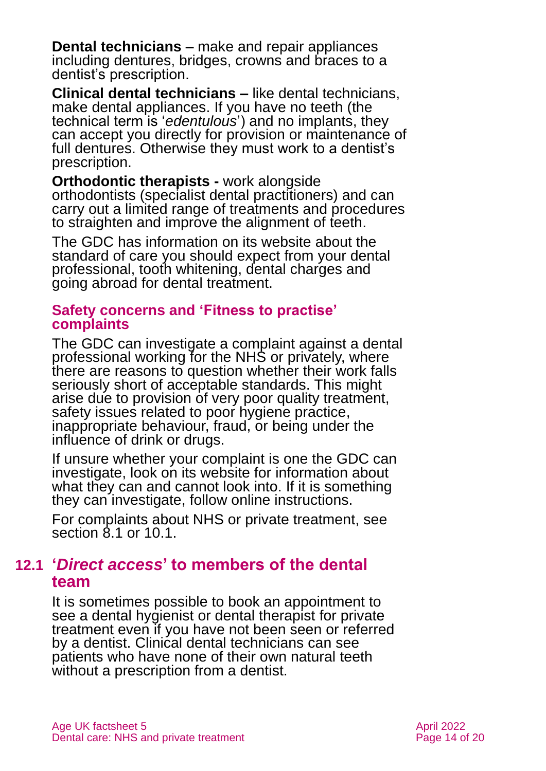**Dental technicians –** make and repair appliances including dentures, bridges, crowns and braces to a dentist's prescription.

**Clinical dental technicians –** like dental technicians, make dental appliances. If you have no teeth (the technical term is '*edentulous*') and no implants, they can accept you directly for provision or maintenance of full dentures. Otherwise they must work to a dentist's prescription.

**Orthodontic therapists -** work alongside orthodontists (specialist dental practitioners) and can carry out a limited range of treatments and procedures to straighten and improve the alignment of teeth.

The GDC has [information on its website](https://www.gdc-uk.org/information-standards-guidance/information-on-dental-treatment/dental-costs) about the standard of care you should expect from your dental professional, tooth whitening, dental charges and going abroad for dental treatment.

#### **Safety concerns and 'Fitness to practise' complaints**

The GDC can investigate a complaint against a dental professional working for the NHS or privately, where there are reasons to question whether their work falls seriously short of acceptable standards. This might arise due to provision of very poor quality treatment, safety issues related to poor hygiene practice, inappropriate behaviour, fraud, or being under the influence of drink or drugs.

If unsure whether your complaint is one the GDC can investigate, look on its website for information about what they can and cannot look into. If it is something they can investigate, follow online instructions.

For complaints about NHS or private treatment, see [section 8.1](#page-8-1) or [10.1.](#page-11-1)

### **12.1 '***Direct access***' to members of the dental team**

It is sometimes possible to book an appointment to see a dental hygienist or dental therapist for private treatment even if you have not been seen or referred by a dentist. Clinical dental technicians can see patients who have none of their own natural teeth without a prescription from a dentist.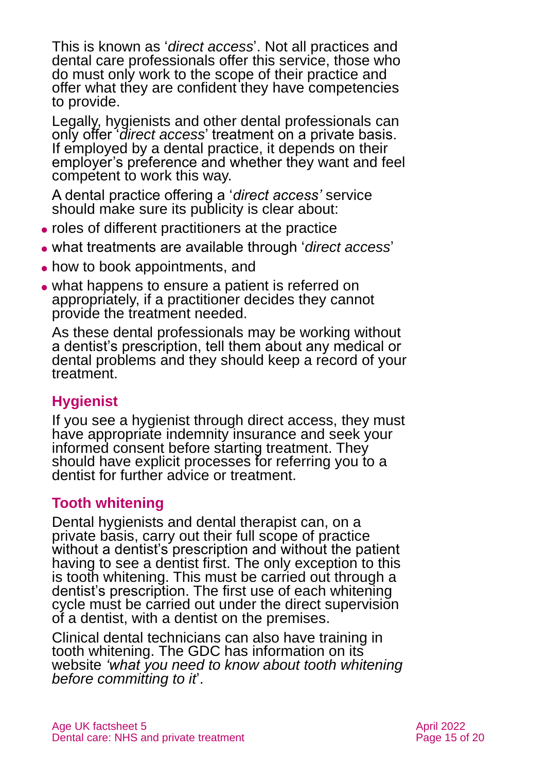This is known as '*direct access*'. Not all practices and dental care professionals offer this service, those who do must only work to the scope of their practice and offer what they are confident they have competencies to provide.

Legally, hygienists and other dental professionals can only offer '*direct access*' treatment on a private basis. If employed by a dental practice, it depends on their employer's preference and whether they want and feel competent to work this way.

A dental practice offering a '*direct access'* service should make sure its publicity is clear about:

- ⚫ roles of different practitioners at the practice
- ⚫ what treatments are available through '*direct access*'
- how to book appointments, and
- what happens to ensure a patient is referred on appropriately, if a practitioner decides they cannot provide the treatment needed.

As these dental professionals may be working without a dentist's prescription, tell them about any medical or dental problems and they should keep a record of your treatment.

### **Hygienist**

If you see a hygienist through direct access, they must have appropriate indemnity insurance and seek your informed consent before starting treatment. They should have explicit processes for referring you to a dentist for further advice or treatment.

#### **Tooth whitening**

Dental hygienists and dental therapist can, on a private basis, carry out their full scope of practice without a dentist's prescription and without the patient having to see a dentist first. The only exception to this is tooth whitening. This must be carried out through a dentist's prescription. The first use of each whitening cycle must be carried out under the direct supervision of a dentist, with a dentist on the premises.

Clinical dental technicians can also have training in tooth whitening. The GDC has information on its website *['what you need to know about tooth whitening](https://www.gdc-uk.org/information-standards-guidance/information-on-dental-treatment/tooth-whitening-and-illegal-practice)  [before committing to it](https://www.gdc-uk.org/information-standards-guidance/information-on-dental-treatment/tooth-whitening-and-illegal-practice)*'.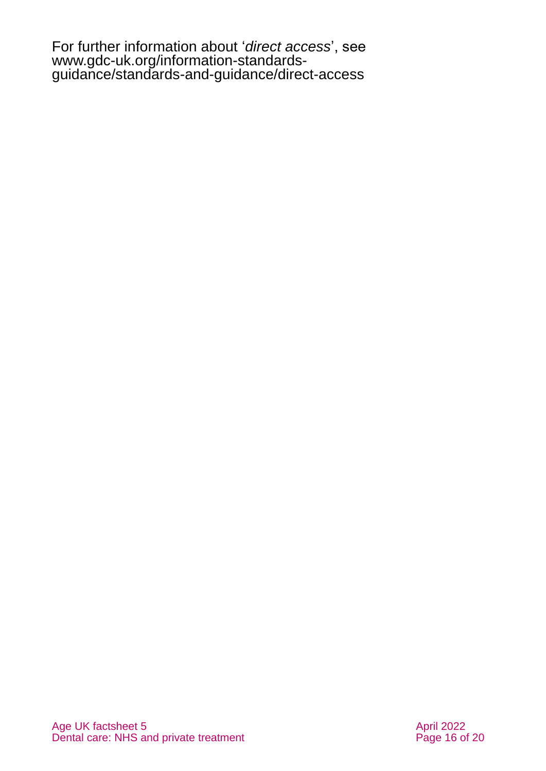For further information about '*direct access*', see [www.gdc-uk.org/information-standards](http://www.gdc-uk.org/information-standards-guidance/standards-and-guidance/direct-access)[guidance/standards-and-guidance/direct-access](http://www.gdc-uk.org/information-standards-guidance/standards-and-guidance/direct-access)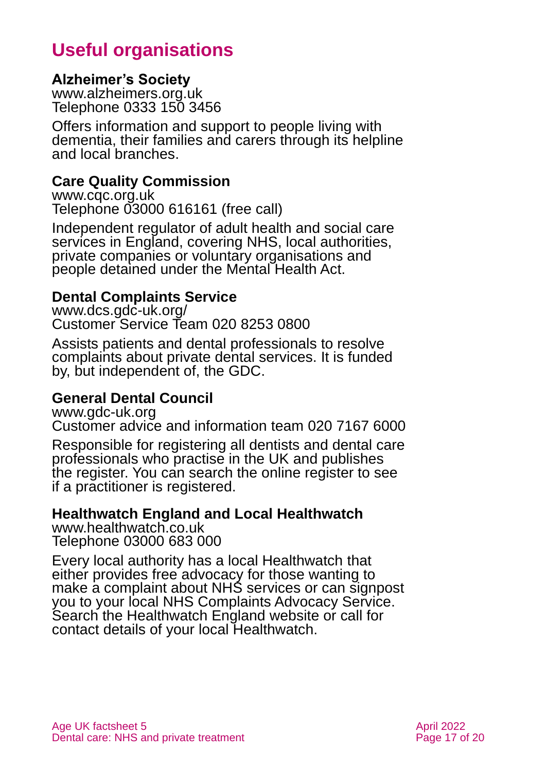# **Useful organisations**

#### <span id="page-16-0"></span>**Alzheimer's Society**

[www.alzheimers.org.uk](http://www.alzheimers.org.uk/) Telephone 0333 150 3456

Offers information and support to people living with dementia, their families and carers through its helpline and local branches.

#### **Care Quality Commission**

[www.cqc.org.uk](http://www.cqc.org.uk/) Telephone 03000 616161 (free call)

Independent regulator of adult health and social care services in England, covering NHS, local authorities, private companies or voluntary organisations and people detained under the Mental Health Act.

#### **Dental Complaints Service**

[www.dcs.gdc-uk.org/](https://dcs.gdc-uk.org/) Customer Service Team 020 8253 0800

Assists patients and dental professionals to resolve complaints about private dental services. It is funded by, but independent of, the GDC.

#### **General Dental Council**

[www.gdc-uk.org](http://www.gdc-uk.org/)

Customer advice and information team 020 7167 6000

Responsible for registering all dentists and dental care professionals who practise in the UK and publishes the register. You can search the online register to see if a practitioner is registered.

#### <span id="page-16-1"></span>**Healthwatch England and Local Healthwatch**

[www.healthwatch.co.uk](http://www.healthwatch.co.uk/) Telephone 03000 683 000

Every local authority has a local Healthwatch that either provides free advocacy for those wanting to make a complaint about NHS services or can signpost you to your local NHS Complaints Advocacy Service. Search the Healthwatch England website or call for contact details of your local Healthwatch.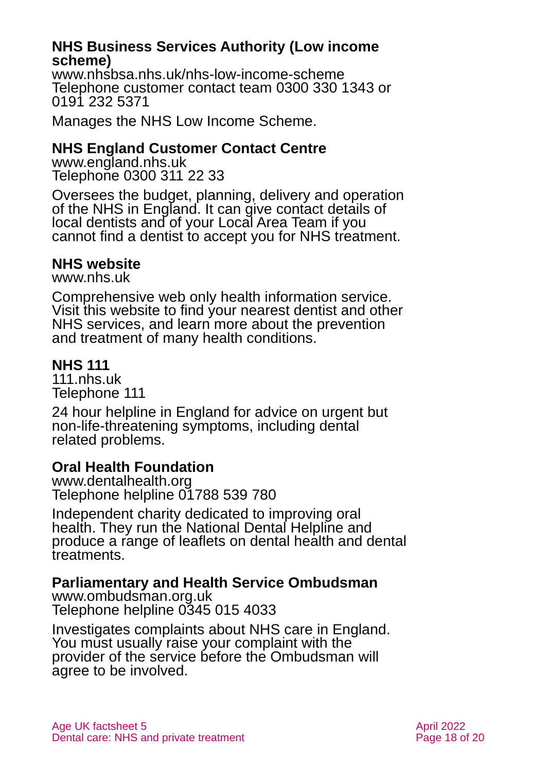#### **NHS Business Services Authority (Low income scheme)**

[www.nhsbsa.nhs.uk/nhs-low-income-scheme](http://www.nhsbsa.nhs.uk/nhs-low-income-scheme) Telephone customer contact team 0300 330 1343 or 0191 232 5371

Manages the NHS Low Income Scheme.

#### **NHS England Customer Contact Centre**

[www.england.nhs.uk](http://www.england.nhs.uk/) Telephone 0300 311 22 33

Oversees the budget, planning, delivery and operation of the NHS in England. It can give contact details of local dentists and of your Local Area Team if you cannot find a dentist to accept you for NHS treatment.

#### **NHS website**

[www.nhs.uk](https://www.nhs.uk/)

Comprehensive web only health information service. Visit this website to find your nearest dentist and other NHS services, and learn more about the prevention and treatment of many health conditions.

#### **NHS 111**

[111.nhs.uk](https://111.nhs.uk/) Telephone 111

24 hour helpline in England for advice on urgent but non-life-threatening symptoms, including dental related problems.

#### **Oral Health Foundation**

[www.dentalhealth.org](http://www.dentalhealth.org/) Telephone helpline [01788 539](tel:%2001788%20539780) 780

Independent charity dedicated to improving oral health. They run the National Dental Helpline and produce a range of leaflets on dental health and dental treatments.

#### **Parliamentary and Health Service Ombudsman**

[www.ombudsman.org.uk](http://www.ombudsman.org.uk/) Telephone helpline 0345 015 4033

Investigates complaints about NHS care in England. You must usually raise your complaint with the provider of the service before the Ombudsman will agree to be involved.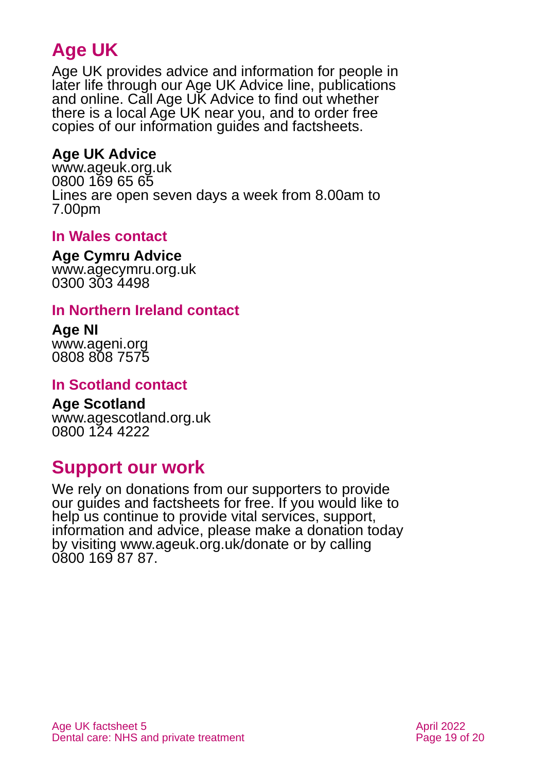# **Age UK**

Age UK provides advice and information for people in later life through our Age UK Advice line, publications and online. Call Age UK Advice to find out whether there is a local Age UK near you, and to order free copies of our information guides and factsheets.

#### <span id="page-18-1"></span>**Age UK Advice**

[www.ageuk.org.uk](http://www.ageuk.org.uk/) 0800 169 65 65 Lines are open seven days a week from 8.00am to 7.00pm

#### **In Wales contact**

#### **Age Cymru Advice**

[www.agecymru.org.uk](http://www.agecymru.org.uk/) 0300 303 4498

#### <span id="page-18-0"></span>**In Northern Ireland contact**

#### **Age NI** [www.ageni.org](http://www.ageni.org/)

0808 808 7575

#### **In Scotland contact**

# <span id="page-18-2"></span>**Age Scotland**

[www.agescotland.org.uk](http://www.agescotland.org.uk/) 0800 124 4222

### **Support our work**

We rely on donations from our supporters to provide our guides and factsheets for free. If you would like to help us continue to provide vital services, support, information and advice, please make a donation today by visiting [www.ageuk.org.uk/donate](http://www.ageuk.org.uk/donate) or by calling 0800 169 87 87.